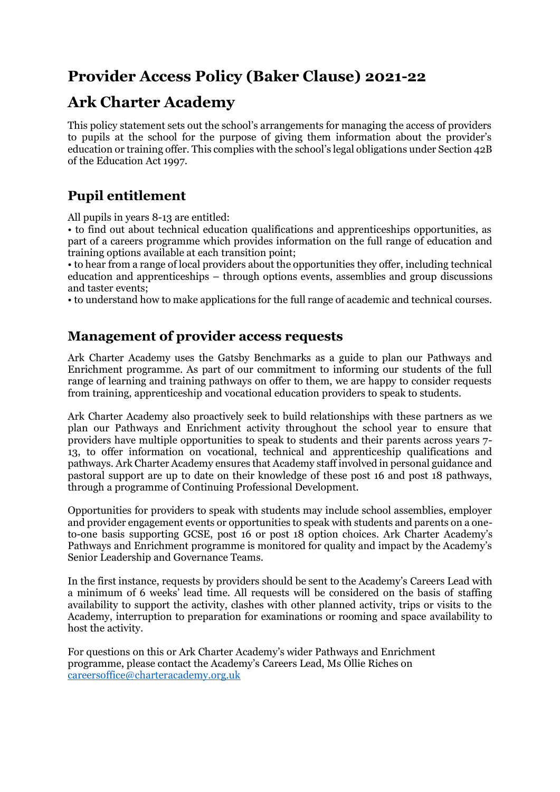# **Provider Access Policy (Baker Clause) 2021-22**

# **Ark Charter Academy**

This policy statement sets out the school's arrangements for managing the access of providers to pupils at the school for the purpose of giving them information about the provider's education or training offer. This complies with the school's legal obligations under Section 42B of the Education Act 1997.

## **Pupil entitlement**

All pupils in years 8-13 are entitled:

• to find out about technical education qualifications and apprenticeships opportunities, as part of a careers programme which provides information on the full range of education and training options available at each transition point;

• to hear from a range of local providers about the opportunities they offer, including technical education and apprenticeships – through options events, assemblies and group discussions and taster events;

• to understand how to make applications for the full range of academic and technical courses.

## **Management of provider access requests**

Ark Charter Academy uses the Gatsby Benchmarks as a guide to plan our Pathways and Enrichment programme. As part of our commitment to informing our students of the full range of learning and training pathways on offer to them, we are happy to consider requests from training, apprenticeship and vocational education providers to speak to students.

Ark Charter Academy also proactively seek to build relationships with these partners as we plan our Pathways and Enrichment activity throughout the school year to ensure that providers have multiple opportunities to speak to students and their parents across years 7- 13, to offer information on vocational, technical and apprenticeship qualifications and pathways. Ark Charter Academy ensures that Academy staff involved in personal guidance and pastoral support are up to date on their knowledge of these post 16 and post 18 pathways, through a programme of Continuing Professional Development.

Opportunities for providers to speak with students may include school assemblies, employer and provider engagement events or opportunities to speak with students and parents on a oneto-one basis supporting GCSE, post 16 or post 18 option choices. Ark Charter Academy's Pathways and Enrichment programme is monitored for quality and impact by the Academy's Senior Leadership and Governance Teams.

In the first instance, requests by providers should be sent to the Academy's Careers Lead with a minimum of 6 weeks' lead time. All requests will be considered on the basis of staffing availability to support the activity, clashes with other planned activity, trips or visits to the Academy, interruption to preparation for examinations or rooming and space availability to host the activity.

For questions on this or Ark Charter Academy's wider Pathways and Enrichment programme, please contact the Academy's Careers Lead, Ms Ollie Riches on [careersoffice@charteracademy.org.uk](mailto:careersoffice@charteracademy.org.uk)